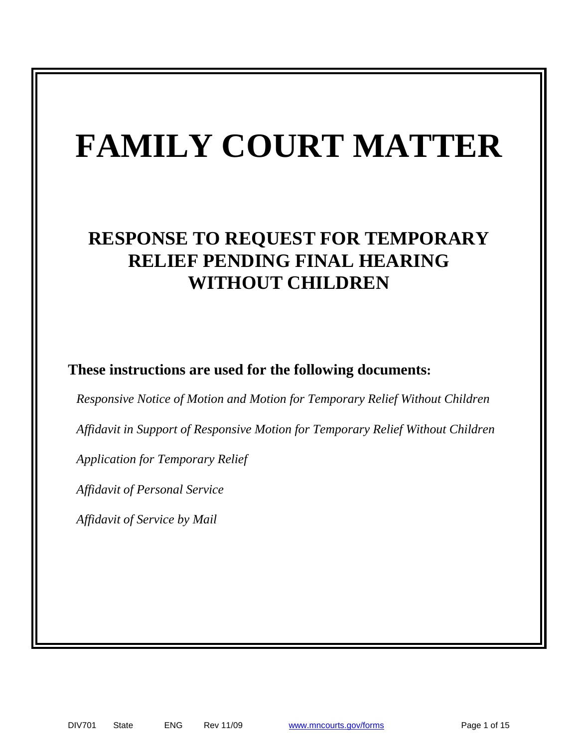# **FAMILY COURT MATTER**

# **RESPONSE TO REQUEST FOR TEMPORARY RELIEF PENDING FINAL HEARING WITHOUT CHILDREN**

**These instructions are used for the following documents:**

*Responsive Notice of Motion and Motion for Temporary Relief Without Children*

*Affidavit in Support of Responsive Motion for Temporary Relief Without Children*

*Application for Temporary Relief*

*Affidavit of Personal Service* 

*Affidavit of Service by Mail*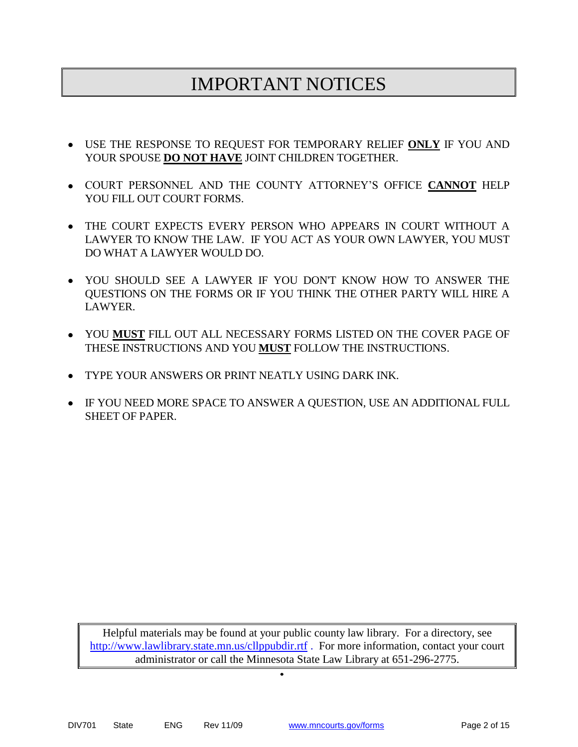# IMPORTANT NOTICES

- USE THE RESPONSE TO REQUEST FOR TEMPORARY RELIEF **ONLY** IF YOU AND YOUR SPOUSE **DO NOT HAVE** JOINT CHILDREN TOGETHER.
- COURT PERSONNEL AND THE COUNTY ATTORNEY'S OFFICE **CANNOT** HELP YOU FILL OUT COURT FORMS.
- THE COURT EXPECTS EVERY PERSON WHO APPEARS IN COURT WITHOUT A LAWYER TO KNOW THE LAW. IF YOU ACT AS YOUR OWN LAWYER, YOU MUST DO WHAT A LAWYER WOULD DO.
- YOU SHOULD SEE A LAWYER IF YOU DON'T KNOW HOW TO ANSWER THE QUESTIONS ON THE FORMS OR IF YOU THINK THE OTHER PARTY WILL HIRE A LAWYER.
- YOU **MUST** FILL OUT ALL NECESSARY FORMS LISTED ON THE COVER PAGE OF THESE INSTRUCTIONS AND YOU **MUST** FOLLOW THE INSTRUCTIONS.
- TYPE YOUR ANSWERS OR PRINT NEATLY USING DARK INK.
- IF YOU NEED MORE SPACE TO ANSWER A QUESTION, USE AN ADDITIONAL FULL SHEET OF PAPER.

Helpful materials may be found at your public county law library. For a directory, see <http://www.lawlibrary.state.mn.us/cllppubdir.rtf> . For more information, contact your court administrator or call the Minnesota State Law Library at 651-296-2775.

 $\bullet$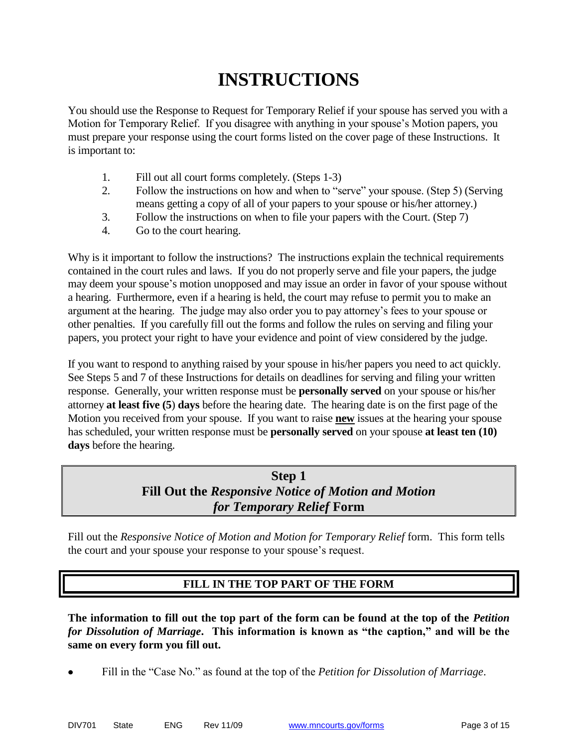# **INSTRUCTIONS**

You should use the Response to Request for Temporary Relief if your spouse has served you with a Motion for Temporary Relief. If you disagree with anything in your spouse's Motion papers, you must prepare your response using the court forms listed on the cover page of these Instructions. It is important to:

- 1. Fill out all court forms completely. (Steps 1-3)
- 2. Follow the instructions on how and when to "serve" your spouse. (Step 5) (Serving means getting a copy of all of your papers to your spouse or his/her attorney.)
- 3. Follow the instructions on when to file your papers with the Court. (Step 7)
- 4. Go to the court hearing.

Why is it important to follow the instructions? The instructions explain the technical requirements contained in the court rules and laws. If you do not properly serve and file your papers, the judge may deem your spouse's motion unopposed and may issue an order in favor of your spouse without a hearing. Furthermore, even if a hearing is held, the court may refuse to permit you to make an argument at the hearing. The judge may also order you to pay attorney's fees to your spouse or other penalties. If you carefully fill out the forms and follow the rules on serving and filing your papers, you protect your right to have your evidence and point of view considered by the judge.

If you want to respond to anything raised by your spouse in his/her papers you need to act quickly. See Steps 5 and 7 of these Instructions for details on deadlines for serving and filing your written response. Generally, your written response must be **personally served** on your spouse or his/her attorney **at least five (5**) **days** before the hearing date. The hearing date is on the first page of the Motion you received from your spouse. If you want to raise **new** issues at the hearing your spouse has scheduled, your written response must be **personally served** on your spouse **at least ten (10) days** before the hearing.

# **Step 1 Fill Out the** *Responsive Notice of Motion and Motion for Temporary Relief* **Form**

Fill out the *Responsive Notice of Motion and Motion for Temporary Relief* form. This form tells the court and your spouse your response to your spouse's request.

## **FILL IN THE TOP PART OF THE FORM**

**The information to fill out the top part of the form can be found at the top of the** *Petition for Dissolution of Marriage***. This information is known as "the caption," and will be the same on every form you fill out.**

Fill in the "Case No." as found at the top of the *Petition for Dissolution of Marriage*.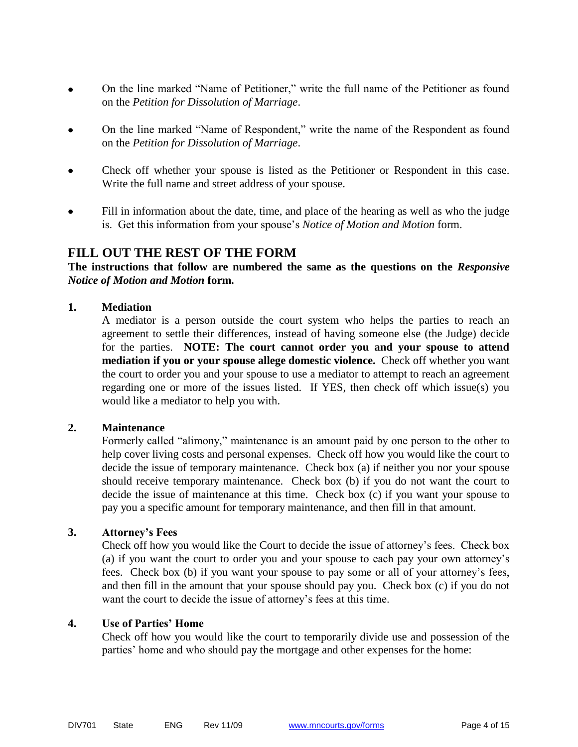- On the line marked "Name of Petitioner," write the full name of the Petitioner as found  $\bullet$ on the *Petition for Dissolution of Marriage*.
- On the line marked "Name of Respondent," write the name of the Respondent as found on the *Petition for Dissolution of Marriage*.
- Check off whether your spouse is listed as the Petitioner or Respondent in this case. Write the full name and street address of your spouse.
- Fill in information about the date, time, and place of the hearing as well as who the judge is. Get this information from your spouse's *Notice of Motion and Motion* form.

#### **FILL OUT THE REST OF THE FORM**

#### **The instructions that follow are numbered the same as the questions on the** *Responsive Notice of Motion and Motion* **form.**

#### **1. Mediation**

A mediator is a person outside the court system who helps the parties to reach an agreement to settle their differences, instead of having someone else (the Judge) decide for the parties. **NOTE: The court cannot order you and your spouse to attend mediation if you or your spouse allege domestic violence.** Check off whether you want the court to order you and your spouse to use a mediator to attempt to reach an agreement regarding one or more of the issues listed. If YES, then check off which issue(s) you would like a mediator to help you with.

#### **2. Maintenance**

Formerly called "alimony," maintenance is an amount paid by one person to the other to help cover living costs and personal expenses. Check off how you would like the court to decide the issue of temporary maintenance. Check box (a) if neither you nor your spouse should receive temporary maintenance. Check box (b) if you do not want the court to decide the issue of maintenance at this time. Check box (c) if you want your spouse to pay you a specific amount for temporary maintenance, and then fill in that amount.

#### **3. Attorney's Fees**

Check off how you would like the Court to decide the issue of attorney's fees. Check box (a) if you want the court to order you and your spouse to each pay your own attorney's fees. Check box (b) if you want your spouse to pay some or all of your attorney's fees, and then fill in the amount that your spouse should pay you. Check box (c) if you do not want the court to decide the issue of attorney's fees at this time.

#### **4. Use of Parties' Home**

Check off how you would like the court to temporarily divide use and possession of the parties' home and who should pay the mortgage and other expenses for the home: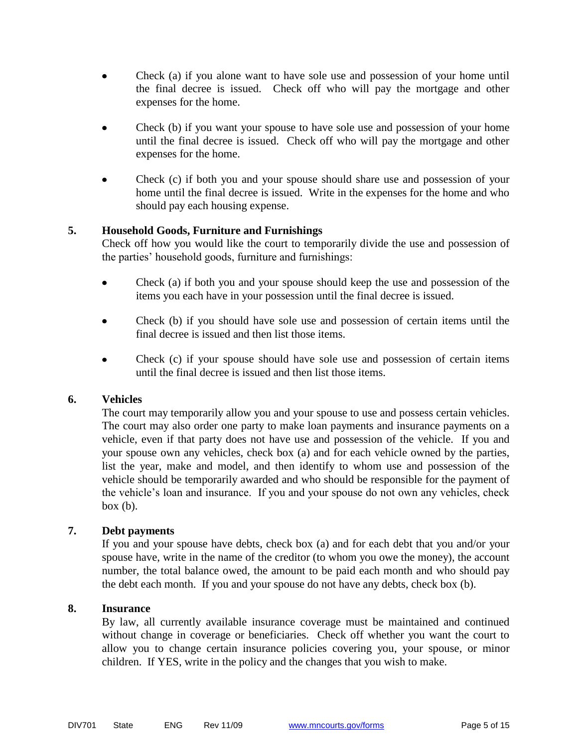- Check (a) if you alone want to have sole use and possession of your home until the final decree is issued. Check off who will pay the mortgage and other expenses for the home.
- Check (b) if you want your spouse to have sole use and possession of your home until the final decree is issued. Check off who will pay the mortgage and other expenses for the home.
- Check (c) if both you and your spouse should share use and possession of your home until the final decree is issued. Write in the expenses for the home and who should pay each housing expense.

#### **5. Household Goods, Furniture and Furnishings**

Check off how you would like the court to temporarily divide the use and possession of the parties' household goods, furniture and furnishings:

- Check (a) if both you and your spouse should keep the use and possession of the items you each have in your possession until the final decree is issued.
- Check (b) if you should have sole use and possession of certain items until the final decree is issued and then list those items.
- Check (c) if your spouse should have sole use and possession of certain items until the final decree is issued and then list those items.

#### **6. Vehicles**

The court may temporarily allow you and your spouse to use and possess certain vehicles. The court may also order one party to make loan payments and insurance payments on a vehicle, even if that party does not have use and possession of the vehicle. If you and your spouse own any vehicles, check box (a) and for each vehicle owned by the parties, list the year, make and model, and then identify to whom use and possession of the vehicle should be temporarily awarded and who should be responsible for the payment of the vehicle's loan and insurance. If you and your spouse do not own any vehicles, check  $box (b).$ 

#### **7. Debt payments**

If you and your spouse have debts, check box (a) and for each debt that you and/or your spouse have, write in the name of the creditor (to whom you owe the money), the account number, the total balance owed, the amount to be paid each month and who should pay the debt each month. If you and your spouse do not have any debts, check box (b).

#### **8. Insurance**

By law, all currently available insurance coverage must be maintained and continued without change in coverage or beneficiaries. Check off whether you want the court to allow you to change certain insurance policies covering you, your spouse, or minor children. If YES, write in the policy and the changes that you wish to make.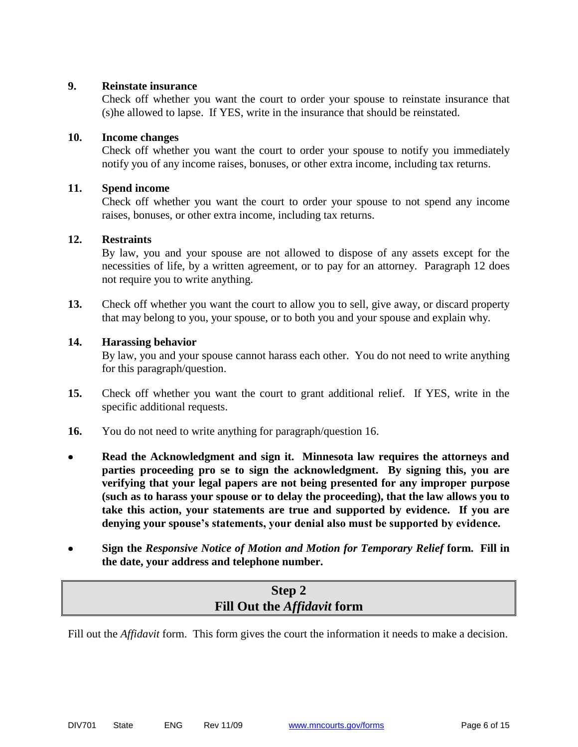#### **9. Reinstate insurance**

Check off whether you want the court to order your spouse to reinstate insurance that (s)he allowed to lapse. If YES, write in the insurance that should be reinstated.

#### **10. Income changes**

Check off whether you want the court to order your spouse to notify you immediately notify you of any income raises, bonuses, or other extra income, including tax returns.

#### **11. Spend income**

Check off whether you want the court to order your spouse to not spend any income raises, bonuses, or other extra income, including tax returns.

#### **12. Restraints**

By law, you and your spouse are not allowed to dispose of any assets except for the necessities of life, by a written agreement, or to pay for an attorney. Paragraph 12 does not require you to write anything.

**13.** Check off whether you want the court to allow you to sell, give away, or discard property that may belong to you, your spouse, or to both you and your spouse and explain why.

#### **14. Harassing behavior**

By law, you and your spouse cannot harass each other. You do not need to write anything for this paragraph/question.

- **15.** Check off whether you want the court to grant additional relief. If YES, write in the specific additional requests.
- **16.** You do not need to write anything for paragraph/question 16.
- $\bullet$ **Read the Acknowledgment and sign it. Minnesota law requires the attorneys and parties proceeding pro se to sign the acknowledgment. By signing this, you are verifying that your legal papers are not being presented for any improper purpose (such as to harass your spouse or to delay the proceeding), that the law allows you to take this action, your statements are true and supported by evidence. If you are denying your spouse's statements, your denial also must be supported by evidence.**
- **Sign the** *Responsive Notice of Motion and Motion for Temporary Relief* **form. Fill in the date, your address and telephone number.**

## **Step 2 Fill Out the** *Affidavit* **form**

Fill out the *Affidavit* form. This form gives the court the information it needs to make a decision.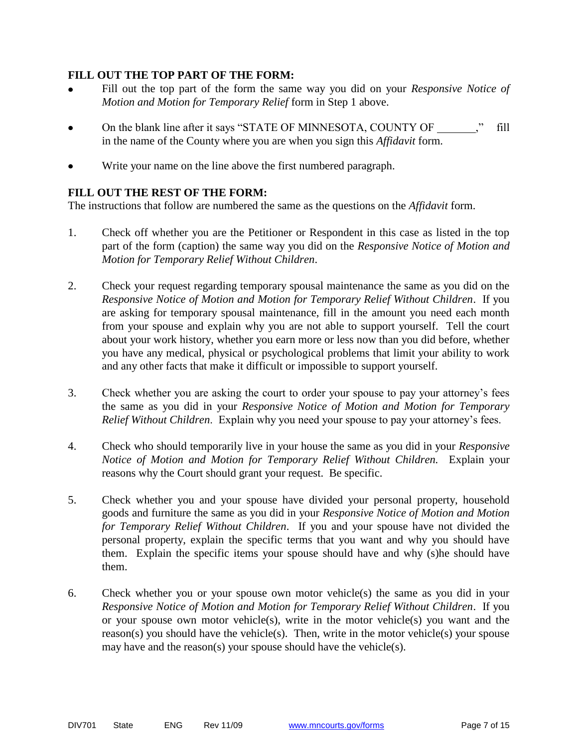#### **FILL OUT THE TOP PART OF THE FORM:**

- Fill out the top part of the form the same way you did on your *Responsive Notice of Motion and Motion for Temporary Relief* form in Step 1 above.
- On the blank line after it says "STATE OF MINNESOTA, COUNTY OF ," fill in the name of the County where you are when you sign this *Affidavit* form.
- Write your name on the line above the first numbered paragraph.

#### **FILL OUT THE REST OF THE FORM:**

The instructions that follow are numbered the same as the questions on the *Affidavit* form.

- 1. Check off whether you are the Petitioner or Respondent in this case as listed in the top part of the form (caption) the same way you did on the *Responsive Notice of Motion and Motion for Temporary Relief Without Children*.
- 2. Check your request regarding temporary spousal maintenance the same as you did on the *Responsive Notice of Motion and Motion for Temporary Relief Without Children*. If you are asking for temporary spousal maintenance, fill in the amount you need each month from your spouse and explain why you are not able to support yourself. Tell the court about your work history, whether you earn more or less now than you did before, whether you have any medical, physical or psychological problems that limit your ability to work and any other facts that make it difficult or impossible to support yourself.
- 3. Check whether you are asking the court to order your spouse to pay your attorney's fees the same as you did in your *Responsive Notice of Motion and Motion for Temporary Relief Without Children*. Explain why you need your spouse to pay your attorney's fees.
- 4. Check who should temporarily live in your house the same as you did in your *Responsive Notice of Motion and Motion for Temporary Relief Without Children.* Explain your reasons why the Court should grant your request. Be specific.
- 5. Check whether you and your spouse have divided your personal property, household goods and furniture the same as you did in your *Responsive Notice of Motion and Motion for Temporary Relief Without Children*. If you and your spouse have not divided the personal property, explain the specific terms that you want and why you should have them. Explain the specific items your spouse should have and why (s)he should have them.
- 6. Check whether you or your spouse own motor vehicle(s) the same as you did in your *Responsive Notice of Motion and Motion for Temporary Relief Without Children*. If you or your spouse own motor vehicle(s), write in the motor vehicle(s) you want and the reason(s) you should have the vehicle(s). Then, write in the motor vehicle(s) your spouse may have and the reason(s) your spouse should have the vehicle(s).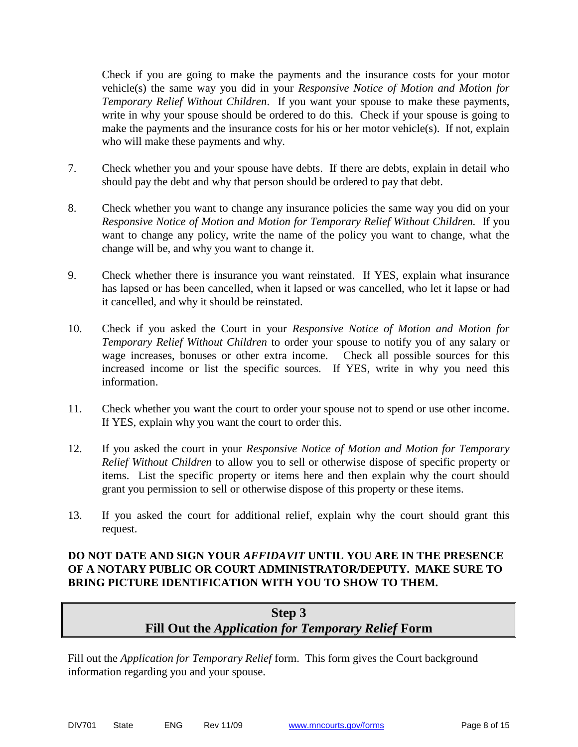Check if you are going to make the payments and the insurance costs for your motor vehicle(s) the same way you did in your *Responsive Notice of Motion and Motion for Temporary Relief Without Children*. If you want your spouse to make these payments, write in why your spouse should be ordered to do this. Check if your spouse is going to make the payments and the insurance costs for his or her motor vehicle(s). If not, explain who will make these payments and why.

- 7. Check whether you and your spouse have debts. If there are debts, explain in detail who should pay the debt and why that person should be ordered to pay that debt.
- 8. Check whether you want to change any insurance policies the same way you did on your *Responsive Notice of Motion and Motion for Temporary Relief Without Children.* If you want to change any policy, write the name of the policy you want to change, what the change will be, and why you want to change it.
- 9. Check whether there is insurance you want reinstated. If YES, explain what insurance has lapsed or has been cancelled, when it lapsed or was cancelled, who let it lapse or had it cancelled, and why it should be reinstated.
- 10. Check if you asked the Court in your *Responsive Notice of Motion and Motion for Temporary Relief Without Children* to order your spouse to notify you of any salary or wage increases, bonuses or other extra income. Check all possible sources for this increased income or list the specific sources. If YES, write in why you need this information.
- 11. Check whether you want the court to order your spouse not to spend or use other income. If YES, explain why you want the court to order this.
- 12. If you asked the court in your *Responsive Notice of Motion and Motion for Temporary Relief Without Children* to allow you to sell or otherwise dispose of specific property or items. List the specific property or items here and then explain why the court should grant you permission to sell or otherwise dispose of this property or these items.
- 13. If you asked the court for additional relief, explain why the court should grant this request.

#### **DO NOT DATE AND SIGN YOUR** *AFFIDAVIT* **UNTIL YOU ARE IN THE PRESENCE OF A NOTARY PUBLIC OR COURT ADMINISTRATOR/DEPUTY. MAKE SURE TO BRING PICTURE IDENTIFICATION WITH YOU TO SHOW TO THEM.**

# **Step 3 Fill Out the** *Application for Temporary Relief* **Form**

Fill out the *Application for Temporary Relief* form. This form gives the Court background information regarding you and your spouse.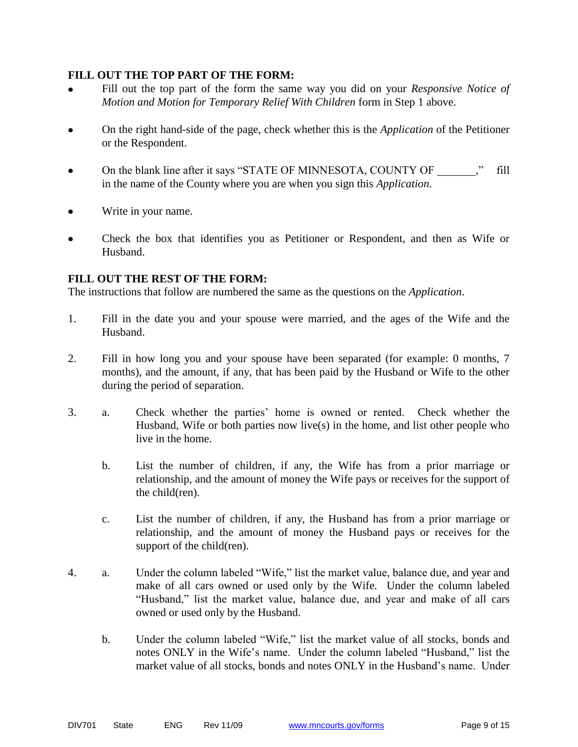#### **FILL OUT THE TOP PART OF THE FORM:**

- Fill out the top part of the form the same way you did on your *Responsive Notice of Motion and Motion for Temporary Relief With Children* form in Step 1 above.
- On the right hand-side of the page, check whether this is the *Application* of the Petitioner or the Respondent.
- On the blank line after it says "STATE OF MINNESOTA, COUNTY OF ," fill in the name of the County where you are when you sign this *Application*.
- Write in your name.
- Check the box that identifies you as Petitioner or Respondent, and then as Wife or Husband.

#### **FILL OUT THE REST OF THE FORM:**

The instructions that follow are numbered the same as the questions on the *Application*.

- 1. Fill in the date you and your spouse were married, and the ages of the Wife and the Husband.
- 2. Fill in how long you and your spouse have been separated (for example: 0 months, 7 months), and the amount, if any, that has been paid by the Husband or Wife to the other during the period of separation.
- 3. a. Check whether the parties' home is owned or rented. Check whether the Husband, Wife or both parties now live(s) in the home, and list other people who live in the home.
	- b. List the number of children, if any, the Wife has from a prior marriage or relationship, and the amount of money the Wife pays or receives for the support of the child(ren).
	- c. List the number of children, if any, the Husband has from a prior marriage or relationship, and the amount of money the Husband pays or receives for the support of the child(ren).
- 4. a. Under the column labeled "Wife," list the market value, balance due, and year and make of all cars owned or used only by the Wife. Under the column labeled "Husband," list the market value, balance due, and year and make of all cars owned or used only by the Husband.
	- b. Under the column labeled "Wife," list the market value of all stocks, bonds and notes ONLY in the Wife's name. Under the column labeled "Husband," list the market value of all stocks, bonds and notes ONLY in the Husband's name. Under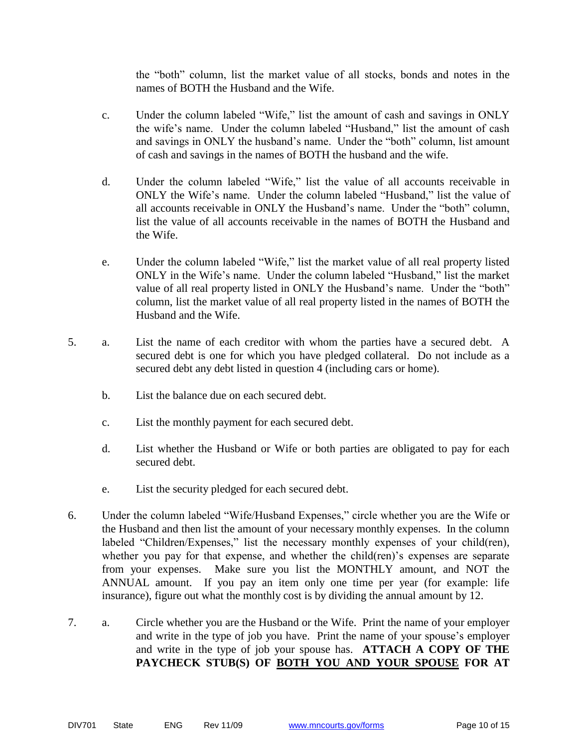the "both" column, list the market value of all stocks, bonds and notes in the names of BOTH the Husband and the Wife.

- c. Under the column labeled "Wife," list the amount of cash and savings in ONLY the wife's name. Under the column labeled "Husband," list the amount of cash and savings in ONLY the husband's name. Under the "both" column, list amount of cash and savings in the names of BOTH the husband and the wife.
- d. Under the column labeled "Wife," list the value of all accounts receivable in ONLY the Wife's name. Under the column labeled "Husband," list the value of all accounts receivable in ONLY the Husband's name. Under the "both" column, list the value of all accounts receivable in the names of BOTH the Husband and the Wife.
- e. Under the column labeled "Wife," list the market value of all real property listed ONLY in the Wife's name. Under the column labeled "Husband," list the market value of all real property listed in ONLY the Husband's name. Under the "both" column, list the market value of all real property listed in the names of BOTH the Husband and the Wife.
- 5. a. List the name of each creditor with whom the parties have a secured debt. A secured debt is one for which you have pledged collateral. Do not include as a secured debt any debt listed in question 4 (including cars or home).
	- b. List the balance due on each secured debt.
	- c. List the monthly payment for each secured debt.
	- d. List whether the Husband or Wife or both parties are obligated to pay for each secured debt.
	- e. List the security pledged for each secured debt.
- 6. Under the column labeled "Wife/Husband Expenses," circle whether you are the Wife or the Husband and then list the amount of your necessary monthly expenses. In the column labeled "Children/Expenses," list the necessary monthly expenses of your child(ren), whether you pay for that expense, and whether the child(ren)'s expenses are separate from your expenses. Make sure you list the MONTHLY amount, and NOT the ANNUAL amount. If you pay an item only one time per year (for example: life insurance), figure out what the monthly cost is by dividing the annual amount by 12.
- 7. a. Circle whether you are the Husband or the Wife. Print the name of your employer and write in the type of job you have. Print the name of your spouse's employer and write in the type of job your spouse has. **ATTACH A COPY OF THE PAYCHECK STUB(S) OF BOTH YOU AND YOUR SPOUSE FOR AT**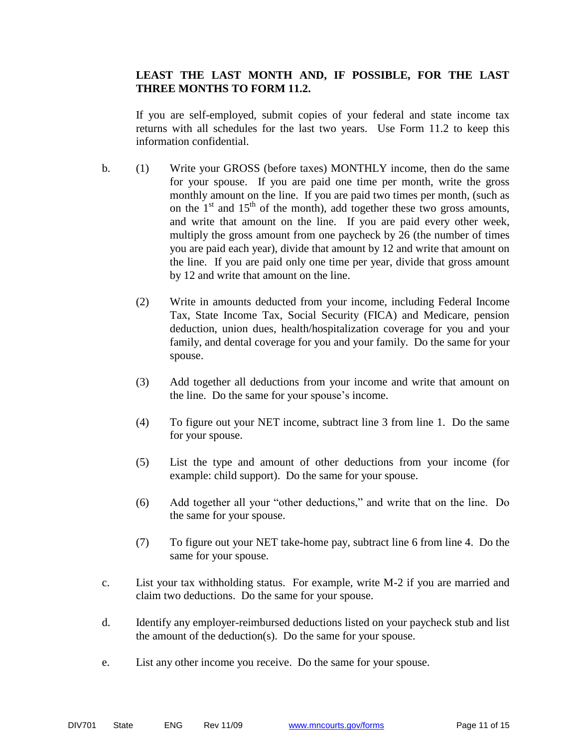#### **LEAST THE LAST MONTH AND, IF POSSIBLE, FOR THE LAST THREE MONTHS TO FORM 11.2.**

If you are self-employed, submit copies of your federal and state income tax returns with all schedules for the last two years. Use Form 11.2 to keep this information confidential.

- b. (1) Write your GROSS (before taxes) MONTHLY income, then do the same for your spouse. If you are paid one time per month, write the gross monthly amount on the line. If you are paid two times per month, (such as on the  $1<sup>st</sup>$  and  $15<sup>th</sup>$  of the month), add together these two gross amounts, and write that amount on the line. If you are paid every other week, multiply the gross amount from one paycheck by 26 (the number of times you are paid each year), divide that amount by 12 and write that amount on the line. If you are paid only one time per year, divide that gross amount by 12 and write that amount on the line.
	- (2) Write in amounts deducted from your income, including Federal Income Tax, State Income Tax, Social Security (FICA) and Medicare, pension deduction, union dues, health/hospitalization coverage for you and your family, and dental coverage for you and your family. Do the same for your spouse.
	- (3) Add together all deductions from your income and write that amount on the line. Do the same for your spouse's income.
	- (4) To figure out your NET income, subtract line 3 from line 1. Do the same for your spouse.
	- (5) List the type and amount of other deductions from your income (for example: child support). Do the same for your spouse.
	- (6) Add together all your "other deductions," and write that on the line. Do the same for your spouse.
	- (7) To figure out your NET take-home pay, subtract line 6 from line 4. Do the same for your spouse.
- c. List your tax withholding status. For example, write M-2 if you are married and claim two deductions. Do the same for your spouse.
- d. Identify any employer-reimbursed deductions listed on your paycheck stub and list the amount of the deduction(s). Do the same for your spouse.
- e. List any other income you receive. Do the same for your spouse.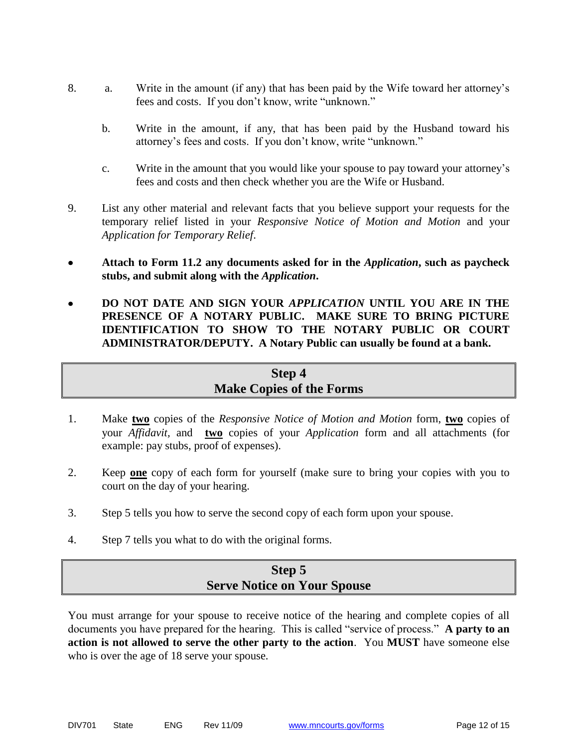- 8. a. Write in the amount (if any) that has been paid by the Wife toward her attorney's fees and costs. If you don't know, write "unknown."
	- b. Write in the amount, if any, that has been paid by the Husband toward his attorney's fees and costs. If you don't know, write "unknown."
	- c. Write in the amount that you would like your spouse to pay toward your attorney's fees and costs and then check whether you are the Wife or Husband.
- 9. List any other material and relevant facts that you believe support your requests for the temporary relief listed in your *Responsive Notice of Motion and Motion* and your *Application for Temporary Relief*.
- **Attach to Form 11.2 any documents asked for in the** *Application***, such as paycheck stubs, and submit along with the** *Application***.**
- **DO NOT DATE AND SIGN YOUR** *APPLICATION* **UNTIL YOU ARE IN THE PRESENCE OF A NOTARY PUBLIC. MAKE SURE TO BRING PICTURE IDENTIFICATION TO SHOW TO THE NOTARY PUBLIC OR COURT ADMINISTRATOR/DEPUTY. A Notary Public can usually be found at a bank.**

# **Step 4 Make Copies of the Forms**

- 1. Make **two** copies of the *Responsive Notice of Motion and Motion* form, **two** copies of your *Affidavit,* and **two** copies of your *Application* form and all attachments (for example: pay stubs, proof of expenses).
- 2. Keep **one** copy of each form for yourself (make sure to bring your copies with you to court on the day of your hearing.
- 3. Step 5 tells you how to serve the second copy of each form upon your spouse.
- 4. Step 7 tells you what to do with the original forms.

# **Step 5 Serve Notice on Your Spouse**

You must arrange for your spouse to receive notice of the hearing and complete copies of all documents you have prepared for the hearing. This is called "service of process." **A party to an action is not allowed to serve the other party to the action**. You **MUST** have someone else who is over the age of 18 serve your spouse.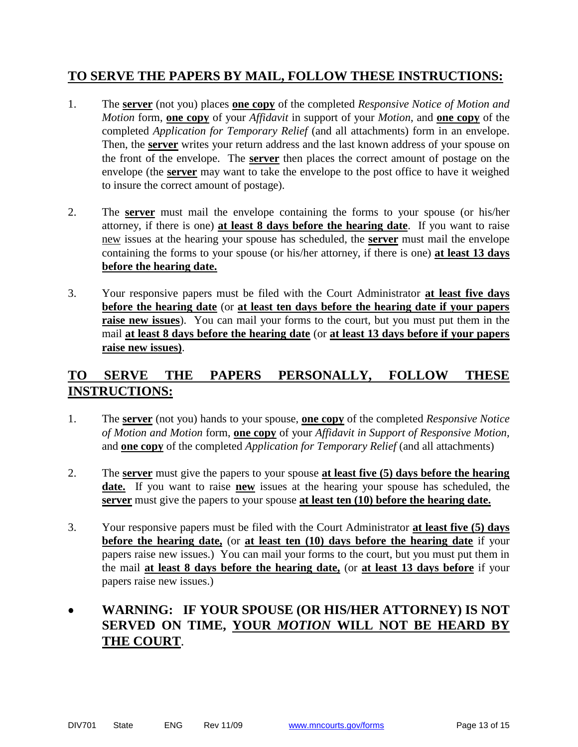# **TO SERVE THE PAPERS BY MAIL, FOLLOW THESE INSTRUCTIONS:**

- 1. The **server** (not you) places **one copy** of the completed *Responsive Notice of Motion and Motion* form, **one copy** of your *Affidavit* in support of your *Motion*, and **one copy** of the completed *Application for Temporary Relief* (and all attachments) form in an envelope. Then, the **server** writes your return address and the last known address of your spouse on the front of the envelope. The **server** then places the correct amount of postage on the envelope (the **server** may want to take the envelope to the post office to have it weighed to insure the correct amount of postage).
- 2. The **server** must mail the envelope containing the forms to your spouse (or his/her attorney, if there is one) **at least 8 days before the hearing date**. If you want to raise new issues at the hearing your spouse has scheduled, the **server** must mail the envelope containing the forms to your spouse (or his/her attorney, if there is one) **at least 13 days before the hearing date.**
- 3. Your responsive papers must be filed with the Court Administrator **at least five days before the hearing date** (or **at least ten days before the hearing date if your papers raise new issues**). You can mail your forms to the court, but you must put them in the mail **at least 8 days before the hearing date** (or **at least 13 days before if your papers raise new issues)**.

# **TO SERVE THE PAPERS PERSONALLY, FOLLOW THESE INSTRUCTIONS:**

- 1. The **server** (not you) hands to your spouse, **one copy** of the completed *Responsive Notice of Motion and Motion* form, **one copy** of your *Affidavit in Support of Responsive Motion,* and **one copy** of the completed *Application for Temporary Relief* (and all attachments)
- 2. The **server** must give the papers to your spouse **at least five (5) days before the hearing date.** If you want to raise **new** issues at the hearing your spouse has scheduled, the **server** must give the papers to your spouse **at least ten (10) before the hearing date.**
- 3. Your responsive papers must be filed with the Court Administrator **at least five (5) days before the hearing date,** (or **at least ten (10) days before the hearing date** if your papers raise new issues.) You can mail your forms to the court, but you must put them in the mail **at least 8 days before the hearing date,** (or **at least 13 days before** if your papers raise new issues.)

# **WARNING: IF YOUR SPOUSE (OR HIS/HER ATTORNEY) IS NOT SERVED ON TIME, YOUR** *MOTION* **WILL NOT BE HEARD BY THE COURT**.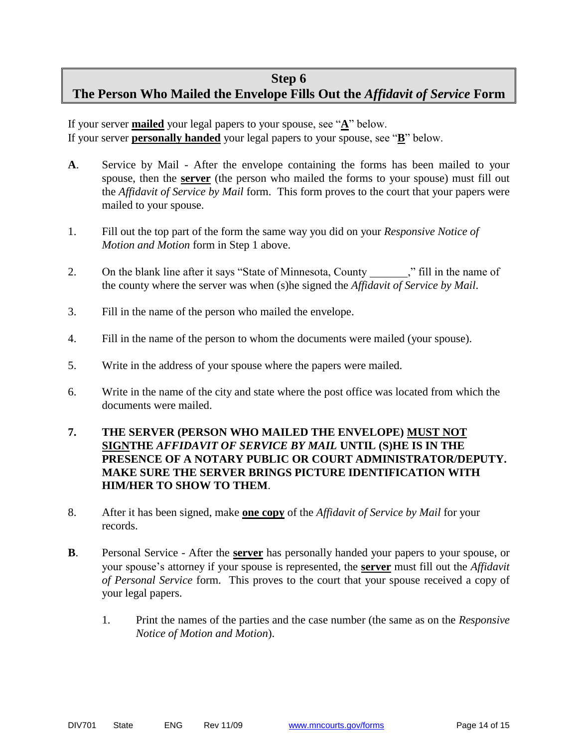#### **Step 6**

# **The Person Who Mailed the Envelope Fills Out the** *Affidavit of Service* **Form**

If your server **mailed** your legal papers to your spouse, see " $\underline{A}$ " below. If your server **personally handed** your legal papers to your spouse, see "**B**" below.

- **A**. Service by Mail After the envelope containing the forms has been mailed to your spouse, then the **server** (the person who mailed the forms to your spouse) must fill out the *Affidavit of Service by Mail* form. This form proves to the court that your papers were mailed to your spouse.
- 1. Fill out the top part of the form the same way you did on your *Responsive Notice of Motion and Motion* form in Step 1 above.
- 2. On the blank line after it says "State of Minnesota, County \_\_\_\_\_\_," fill in the name of the county where the server was when (s)he signed the *Affidavit of Service by Mail*.
- 3. Fill in the name of the person who mailed the envelope.
- 4. Fill in the name of the person to whom the documents were mailed (your spouse).
- 5. Write in the address of your spouse where the papers were mailed.
- 6. Write in the name of the city and state where the post office was located from which the documents were mailed.
- **7. THE SERVER (PERSON WHO MAILED THE ENVELOPE) MUST NOT SIGNTHE** *AFFIDAVIT OF SERVICE BY MAIL* **UNTIL (S)HE IS IN THE PRESENCE OF A NOTARY PUBLIC OR COURT ADMINISTRATOR/DEPUTY. MAKE SURE THE SERVER BRINGS PICTURE IDENTIFICATION WITH HIM/HER TO SHOW TO THEM**.
- 8. After it has been signed, make **one copy** of the *Affidavit of Service by Mail* for your records.
- **B**. Personal Service After the **server** has personally handed your papers to your spouse, or your spouse's attorney if your spouse is represented, the **server** must fill out the *Affidavit of Personal Service* form. This proves to the court that your spouse received a copy of your legal papers.
	- 1. Print the names of the parties and the case number (the same as on the *Responsive Notice of Motion and Motion*).